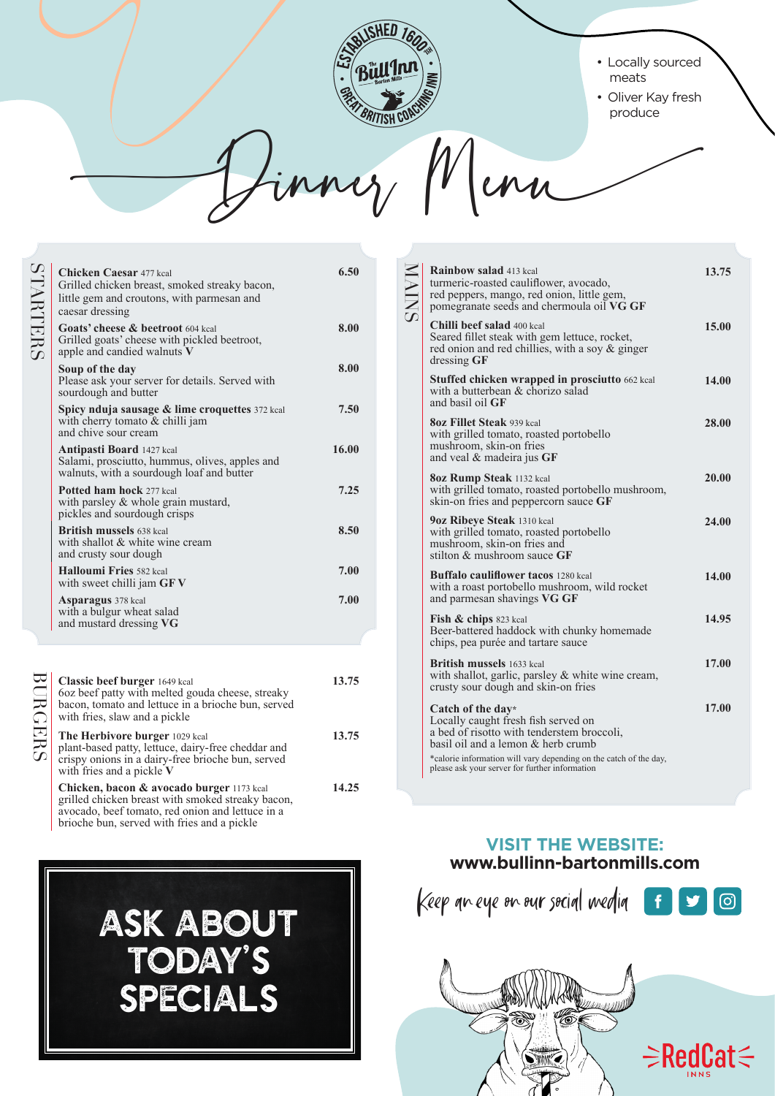

Dinner Menu

## • Locally sourced meats

• Oliver Kay fresh produce

**STARTERS** STARTERS

| <b>Chicken Caesar 477 kcal</b><br>Grilled chicken breast, smoked streaky bacon,<br>little gem and croutons, with parmesan and<br>caesar dressing | 6.50  |
|--------------------------------------------------------------------------------------------------------------------------------------------------|-------|
| <b>Goats' cheese &amp; beetroot</b> 604 kcal<br>Grilled goats' cheese with pickled beetroot,<br>apple and candied walnuts V                      | 8.00  |
| Soup of the day<br>Please ask your server for details. Served with<br>sourdough and butter                                                       | 8.00  |
| Spicy nduja sausage $\&$ lime croquettes 372 kcal<br>with cherry tomato & chilli jam<br>and chive sour cream                                     | 7.50  |
| <b>Antipasti Board</b> 1427 kcal<br>Salami, prosciutto, hummus, olives, apples and<br>walnuts, with a sourdough loaf and butter                  | 16.00 |
| <b>Potted ham hock 277 kcal</b><br>with parsley & whole grain mustard,<br>pickles and sourdough crisps                                           | 7.25  |
| <b>British mussels 638 kcal</b><br>with shallot & white wine cream<br>and crusty sour dough                                                      | 8.50  |
| <b>Halloumi Fries</b> 582 kcal<br>with sweet chilli jam $GFV$                                                                                    | 7.00  |
| <b>Asparagus</b> 378 kcal<br>with a bulgur wheat salad<br>and mustard dressing VG                                                                | 7.00  |
|                                                                                                                                                  |       |

| <b>Classic beef burger</b> 1649 kcal<br>60z beef patty with melted gouda cheese, streaky<br>bacon, tomato and lettuce in a brioche bun, served<br>with fries, slaw and a pickle                              | 13.75 |
|--------------------------------------------------------------------------------------------------------------------------------------------------------------------------------------------------------------|-------|
| <b>The Herbivore burger</b> 1029 kcal<br>plant-based patty, lettuce, dairy-free cheddar and<br>crispy onions in a dairy-free brioche bun, served<br>with fries and a pickle $V$                              | 13.75 |
| <b>Chicken, bacon &amp; avocado burger</b> 1173 kcal<br>grilled chicken breast with smoked streaky bacon,<br>avocado, beef tomato, red onion and lettuce in a<br>brioche bun, served with fries and a pickle | 14.25 |



| <b>MAINS</b> | <b>Rainbow salad 413 kcal</b><br>turmeric-roasted cauliflower, avocado,<br>red peppers, mango, red onion, little gem,<br>pomegranate seeds and chermoula oil VG GF                                                                                                  | 13.75 |
|--------------|---------------------------------------------------------------------------------------------------------------------------------------------------------------------------------------------------------------------------------------------------------------------|-------|
|              | <b>Chilli beef salad 400 kcal</b><br>Seared fillet steak with gem lettuce, rocket,<br>red onion and red chillies, with a soy $\&$ ginger<br>dressing GF                                                                                                             | 15.00 |
|              | Stuffed chicken wrapped in prosciutto 662 kcal<br>with a butterbean & chorizo salad<br>and basil oil $GF$                                                                                                                                                           | 14.00 |
|              | <b>80z Fillet Steak 939 kcal</b><br>with grilled tomato, roasted portobello<br>mushroom, skin-on fries<br>and veal $\&$ madeira jus GF                                                                                                                              | 28.00 |
|              | 80Z Rump Steak 1132 kcal<br>with grilled tomato, roasted portobello mushroom,<br>skin-on fries and peppercorn sauce GF                                                                                                                                              | 20.00 |
|              | 90z Ribeye Steak 1310 kcal<br>with grilled tomato, roasted portobello<br>mushroom, skin-on fries and<br>stilton $\&$ mushroom sauce GF                                                                                                                              | 24.00 |
|              | Buffalo cauliflower tacos 1280 kcal<br>with a roast portobello mushroom, wild rocket<br>and parmesan shavings VG GF                                                                                                                                                 | 14.00 |
|              | Fish & chips 823 kcal<br>Beer-battered haddock with chunky homemade<br>chips, pea purée and tartare sauce                                                                                                                                                           | 14.95 |
|              | <b>British mussels</b> 1633 kcal<br>with shallot, garlic, parsley & white wine cream,<br>crusty sour dough and skin-on fries                                                                                                                                        | 17.00 |
|              | Catch of the day*<br>Locally caught fresh fish served on<br>a bed of risotto with tenderstem broccoli,<br>basil oil and a lemon & herb crumb<br>*calorie information will vary depending on the catch of the day,<br>please ask your server for further information | 17.00 |